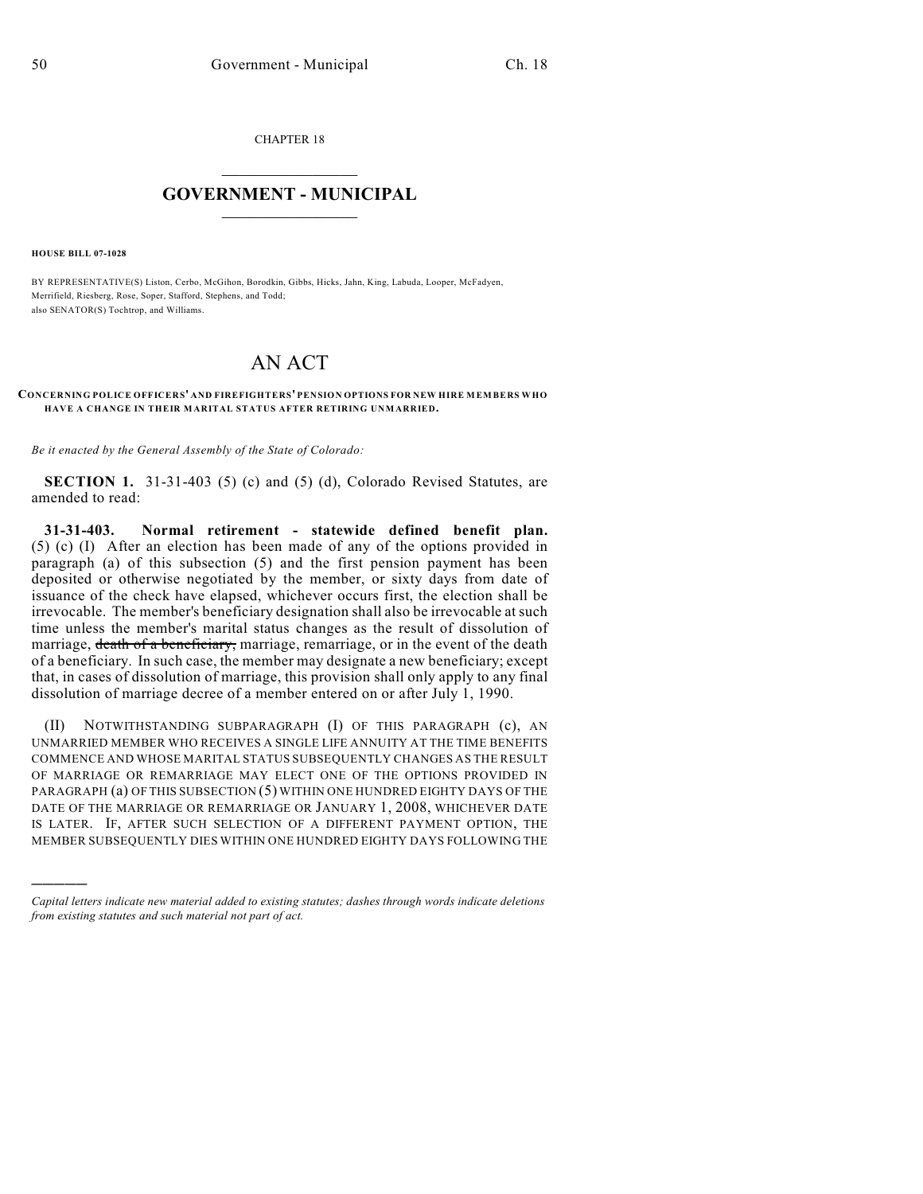CHAPTER 18

## $\overline{\phantom{a}}$  . The set of the set of the set of the set of the set of the set of the set of the set of the set of the set of the set of the set of the set of the set of the set of the set of the set of the set of the set o **GOVERNMENT - MUNICIPAL**  $\_$

**HOUSE BILL 07-1028**

)))))

BY REPRESENTATIVE(S) Liston, Cerbo, McGihon, Borodkin, Gibbs, Hicks, Jahn, King, Labuda, Looper, McFadyen, Merrifield, Riesberg, Rose, Soper, Stafford, Stephens, and Todd; also SENATOR(S) Tochtrop, and Williams.

## AN ACT

## **CONCERNING POLICE OFFICERS' AND FIREFIGHTERS' PENSION OPTIONS FOR NEW HIRE MEMBERS WHO HAVE A CHANGE IN THEIR MARITAL STATUS AFTER RETIRING UNMARRIED.**

*Be it enacted by the General Assembly of the State of Colorado:*

**SECTION 1.** 31-31-403 (5) (c) and (5) (d), Colorado Revised Statutes, are amended to read:

**31-31-403. Normal retirement - statewide defined benefit plan.** (5) (c) (I) After an election has been made of any of the options provided in paragraph (a) of this subsection (5) and the first pension payment has been deposited or otherwise negotiated by the member, or sixty days from date of issuance of the check have elapsed, whichever occurs first, the election shall be irrevocable. The member's beneficiary designation shall also be irrevocable at such time unless the member's marital status changes as the result of dissolution of marriage, death of a beneficiary, marriage, remarriage, or in the event of the death of a beneficiary. In such case, the member may designate a new beneficiary; except that, in cases of dissolution of marriage, this provision shall only apply to any final dissolution of marriage decree of a member entered on or after July 1, 1990.

(II) NOTWITHSTANDING SUBPARAGRAPH (I) OF THIS PARAGRAPH (c), AN UNMARRIED MEMBER WHO RECEIVES A SINGLE LIFE ANNUITY AT THE TIME BENEFITS COMMENCE AND WHOSE MARITAL STATUS SUBSEQUENTLY CHANGES AS THE RESULT OF MARRIAGE OR REMARRIAGE MAY ELECT ONE OF THE OPTIONS PROVIDED IN PARAGRAPH (a) OF THIS SUBSECTION (5) WITHIN ONE HUNDRED EIGHTY DAYS OF THE DATE OF THE MARRIAGE OR REMARRIAGE OR JANUARY 1, 2008, WHICHEVER DATE IS LATER. IF, AFTER SUCH SELECTION OF A DIFFERENT PAYMENT OPTION, THE MEMBER SUBSEQUENTLY DIES WITHIN ONE HUNDRED EIGHTY DAYS FOLLOWING THE

*Capital letters indicate new material added to existing statutes; dashes through words indicate deletions from existing statutes and such material not part of act.*